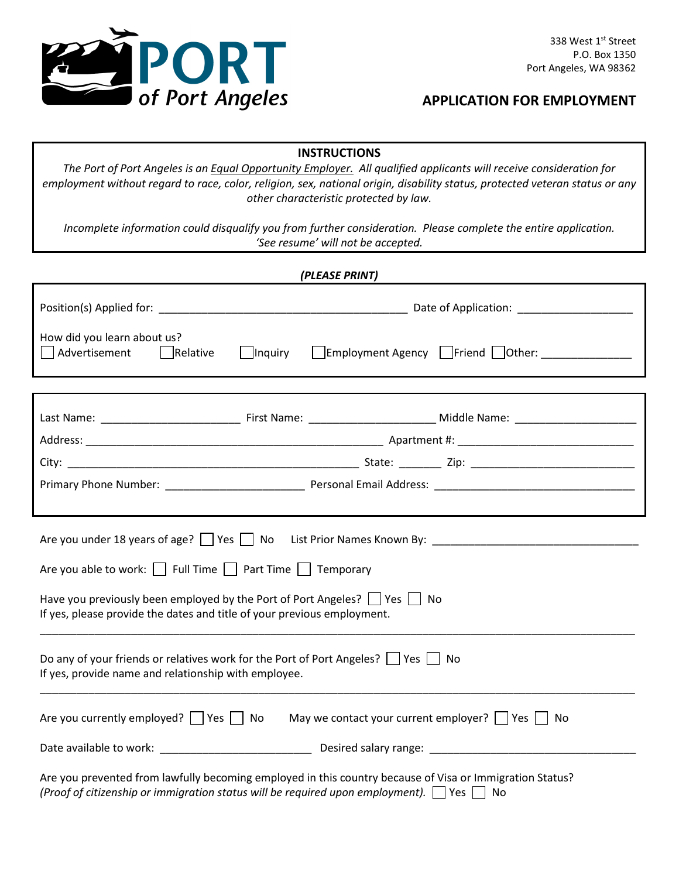

# **APPLICATION FOR EMPLOYMENT**

### **INSTRUCTIONS**

*The Port of Port Angeles is an Equal Opportunity Employer. All qualified applicants will receive consideration for employment without regard to race, color, religion, sex, national origin, disability status, protected veteran status or any other characteristic protected by law.*

*Incomplete information could disqualify you from further consideration. Please complete the entire application. 'See resume' will not be accepted.*

| (PLEASE PRINT)                                                                                                                                                                                                     |                                                            |                                 |  |
|--------------------------------------------------------------------------------------------------------------------------------------------------------------------------------------------------------------------|------------------------------------------------------------|---------------------------------|--|
|                                                                                                                                                                                                                    |                                                            |                                 |  |
| How did you learn about us?<br>Advertisement<br>$\vert$ Relative                                                                                                                                                   | Inquiry                                                    | Employment Agency Friend Other: |  |
|                                                                                                                                                                                                                    |                                                            |                                 |  |
|                                                                                                                                                                                                                    |                                                            |                                 |  |
|                                                                                                                                                                                                                    |                                                            |                                 |  |
|                                                                                                                                                                                                                    |                                                            |                                 |  |
|                                                                                                                                                                                                                    |                                                            |                                 |  |
|                                                                                                                                                                                                                    |                                                            |                                 |  |
| Are you under 18 years of age?   Yes   No List Prior Names Known By:                                                                                                                                               |                                                            |                                 |  |
| Are you able to work: $\Box$ Full Time $\Box$ Part Time $\Box$ Temporary                                                                                                                                           |                                                            |                                 |  |
| Have you previously been employed by the Port of Port Angeles? $\Box$ Yes $\Box$ No<br>If yes, please provide the dates and title of your previous employment.                                                     |                                                            |                                 |  |
| Do any of your friends or relatives work for the Port of Port Angeles?     Yes     No<br>If yes, provide name and relationship with employee.                                                                      |                                                            |                                 |  |
| Are you currently employed? $\Box$ Yes $\Box$ No                                                                                                                                                                   | May we contact your current employer? $\Box$ Yes $\Box$ No |                                 |  |
|                                                                                                                                                                                                                    |                                                            |                                 |  |
| Are you prevented from lawfully becoming employed in this country because of Visa or Immigration Status?<br>(Proof of citizenship or immigration status will be required upon employment). $\Box$ Yes $\Box$<br>No |                                                            |                                 |  |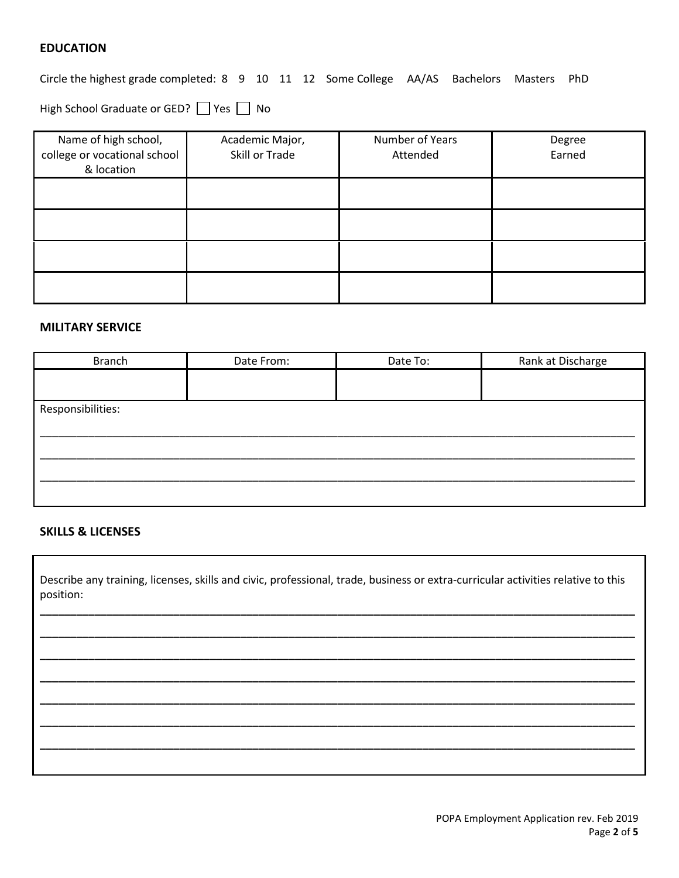### **EDUCATION**

Circle the highest grade completed: 8 9 10 11 12 Some College AA/AS Bachelors Masters PhD

High School Graduate or GED? Yes No

| Name of high school,<br>college or vocational school<br>& location | Academic Major,<br>Skill or Trade | Number of Years<br>Attended | Degree<br>Earned |
|--------------------------------------------------------------------|-----------------------------------|-----------------------------|------------------|
|                                                                    |                                   |                             |                  |
|                                                                    |                                   |                             |                  |
|                                                                    |                                   |                             |                  |
|                                                                    |                                   |                             |                  |

#### **MILITARY SERVICE**

| <b>Branch</b>     | Date From: | Date To: | Rank at Discharge |
|-------------------|------------|----------|-------------------|
|                   |            |          |                   |
|                   |            |          |                   |
| Responsibilities: |            |          |                   |
|                   |            |          |                   |
|                   |            |          |                   |
|                   |            |          |                   |
|                   |            |          |                   |
|                   |            |          |                   |
|                   |            |          |                   |

### **SKILLS & LICENSES**

Describe any training, licenses, skills and civic, professional, trade, business or extra-curricular activities relative to this position:

**\_\_\_\_\_\_\_\_\_\_\_\_\_\_\_\_\_\_\_\_\_\_\_\_\_\_\_\_\_\_\_\_\_\_\_\_\_\_\_\_\_\_\_\_\_\_\_\_\_\_\_\_\_\_\_\_\_\_\_\_\_\_\_\_\_\_\_\_\_\_\_\_\_\_\_\_\_\_\_\_\_\_\_\_\_\_\_\_\_\_\_\_\_\_\_\_\_\_**

**\_\_\_\_\_\_\_\_\_\_\_\_\_\_\_\_\_\_\_\_\_\_\_\_\_\_\_\_\_\_\_\_\_\_\_\_\_\_\_\_\_\_\_\_\_\_\_\_\_\_\_\_\_\_\_\_\_\_\_\_\_\_\_\_\_\_\_\_\_\_\_\_\_\_\_\_\_\_\_\_\_\_\_\_\_\_\_\_\_\_\_\_\_\_\_\_\_\_**

**\_\_\_\_\_\_\_\_\_\_\_\_\_\_\_\_\_\_\_\_\_\_\_\_\_\_\_\_\_\_\_\_\_\_\_\_\_\_\_\_\_\_\_\_\_\_\_\_\_\_\_\_\_\_\_\_\_\_\_\_\_\_\_\_\_\_\_\_\_\_\_\_\_\_\_\_\_\_\_\_\_\_\_\_\_\_\_\_\_\_\_\_\_\_\_\_\_\_**

**\_\_\_\_\_\_\_\_\_\_\_\_\_\_\_\_\_\_\_\_\_\_\_\_\_\_\_\_\_\_\_\_\_\_\_\_\_\_\_\_\_\_\_\_\_\_\_\_\_\_\_\_\_\_\_\_\_\_\_\_\_\_\_\_\_\_\_\_\_\_\_\_\_\_\_\_\_\_\_\_\_\_\_\_\_\_\_\_\_\_\_\_\_\_\_\_\_\_**

**\_\_\_\_\_\_\_\_\_\_\_\_\_\_\_\_\_\_\_\_\_\_\_\_\_\_\_\_\_\_\_\_\_\_\_\_\_\_\_\_\_\_\_\_\_\_\_\_\_\_\_\_\_\_\_\_\_\_\_\_\_\_\_\_\_\_\_\_\_\_\_\_\_\_\_\_\_\_\_\_\_\_\_\_\_\_\_\_\_\_\_\_\_\_\_\_\_\_**

**\_\_\_\_\_\_\_\_\_\_\_\_\_\_\_\_\_\_\_\_\_\_\_\_\_\_\_\_\_\_\_\_\_\_\_\_\_\_\_\_\_\_\_\_\_\_\_\_\_\_\_\_\_\_\_\_\_\_\_\_\_\_\_\_\_\_\_\_\_\_\_\_\_\_\_\_\_\_\_\_\_\_\_\_\_\_\_\_\_\_\_\_\_\_\_\_\_\_**

**\_\_\_\_\_\_\_\_\_\_\_\_\_\_\_\_\_\_\_\_\_\_\_\_\_\_\_\_\_\_\_\_\_\_\_\_\_\_\_\_\_\_\_\_\_\_\_\_\_\_\_\_\_\_\_\_\_\_\_\_\_\_\_\_\_\_\_\_\_\_\_\_\_\_\_\_\_\_\_\_\_\_\_\_\_\_\_\_\_\_\_\_\_\_\_\_\_\_**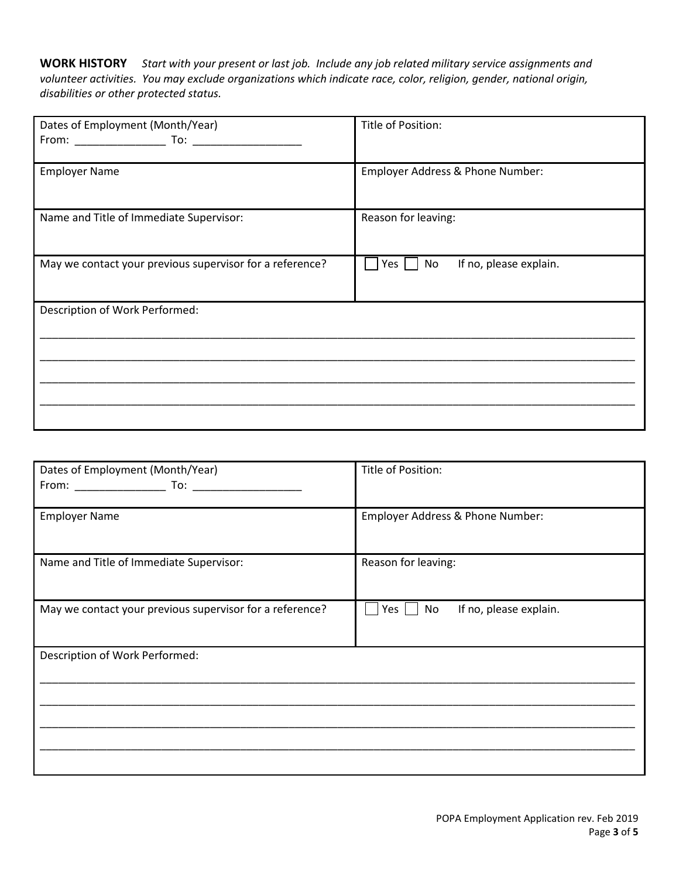**WORK HISTORY** *Start with your present or last job. Include any job related military service assignments and volunteer activities. You may exclude organizations which indicate race, color, religion, gender, national origin, disabilities or other protected status.*

| Dates of Employment (Month/Year)                         | Title of Position:                                  |
|----------------------------------------------------------|-----------------------------------------------------|
| <b>Employer Name</b>                                     | Employer Address & Phone Number:                    |
| Name and Title of Immediate Supervisor:                  | Reason for leaving:                                 |
| May we contact your previous supervisor for a reference? | If no, please explain.<br>Yes $\vert \ \vert$<br>No |
| Description of Work Performed:                           |                                                     |

| Dates of Employment (Month/Year)                         | Title of Position:                  |
|----------------------------------------------------------|-------------------------------------|
| <b>Employer Name</b>                                     | Employer Address & Phone Number:    |
| Name and Title of Immediate Supervisor:                  | Reason for leaving:                 |
| May we contact your previous supervisor for a reference? | If no, please explain.<br>No<br>Yes |
| Description of Work Performed:                           |                                     |
|                                                          |                                     |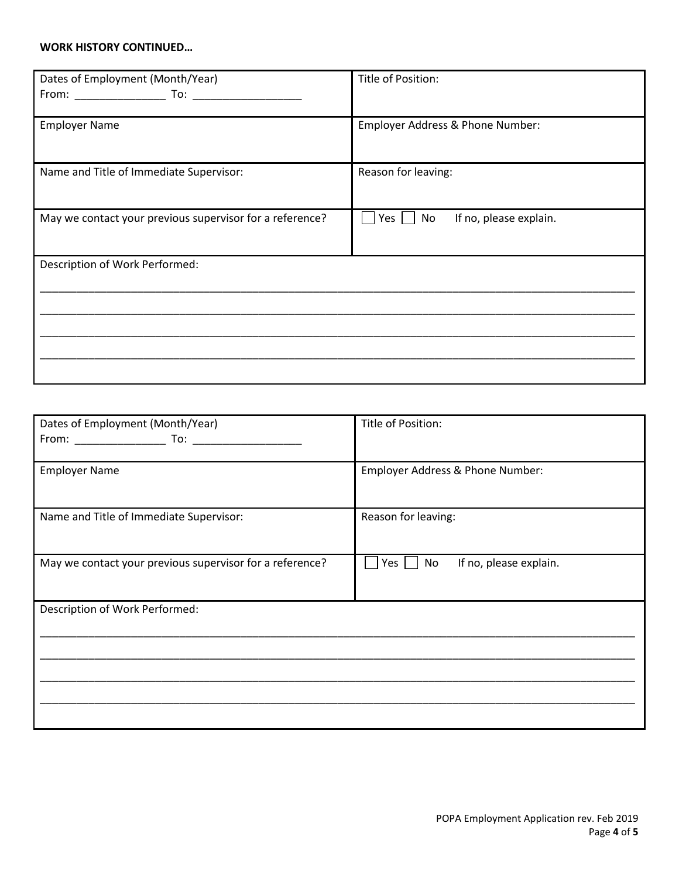#### **WORK HISTORY CONTINUED…**

| Dates of Employment (Month/Year)                         | Title of Position:                  |
|----------------------------------------------------------|-------------------------------------|
| <b>Employer Name</b>                                     | Employer Address & Phone Number:    |
| Name and Title of Immediate Supervisor:                  | Reason for leaving:                 |
| May we contact your previous supervisor for a reference? | If no, please explain.<br>Yes<br>No |
| Description of Work Performed:                           |                                     |
|                                                          |                                     |

| Dates of Employment (Month/Year)                         | Title of Position:                           |
|----------------------------------------------------------|----------------------------------------------|
|                                                          |                                              |
| <b>Employer Name</b>                                     | Employer Address & Phone Number:             |
| Name and Title of Immediate Supervisor:                  | Reason for leaving:                          |
| May we contact your previous supervisor for a reference? | If no, please explain.<br>Yes $  \;  $<br>No |
| Description of Work Performed:                           |                                              |
|                                                          |                                              |
|                                                          |                                              |